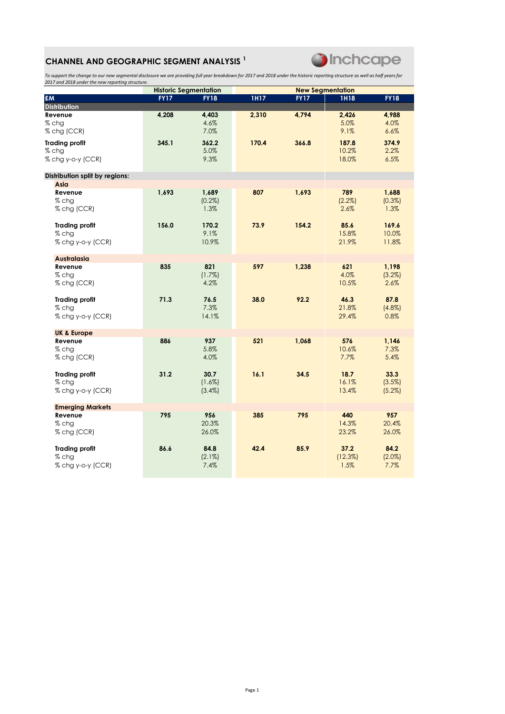## CHANNEL AND GEOGRAPHIC SEGMENT ANALYSIS<sup>1</sup>



To support the change to our new segmental disclosure we are providing full year breakdown for 2017 and 2018 under the historic reporting structure as well as half years for 2017 and 2018 under the new reporting structure.

|                                                       |             | <b>Historic Segmentation</b>   |             |             | <b>New Segmentation</b>  |                           |  |
|-------------------------------------------------------|-------------|--------------------------------|-------------|-------------|--------------------------|---------------------------|--|
| £M                                                    | <b>FY17</b> | <b>FY18</b>                    | <b>1H17</b> | <b>FY17</b> | <b>1H18</b>              | <b>FY18</b>               |  |
| <b>Distribution</b>                                   |             |                                |             |             |                          |                           |  |
| Revenue<br>% chg<br>% chg (CCR)                       | 4,208       | 4,403<br>4.6%<br>7.0%          | 2,310       | 4,794       | 2,426<br>5.0%<br>9.1%    | 4,988<br>4.0%<br>6.6%     |  |
| <b>Trading profit</b><br>$%$ chg<br>% chg y-o-y (CCR) | 345.1       | 362.2<br>5.0%<br>9.3%          | 170.4       | 366.8       | 187.8<br>10.2%<br>18.0%  | 374.9<br>2.2%<br>6.5%     |  |
| Distribution split by regions:                        |             |                                |             |             |                          |                           |  |
| Asia                                                  |             |                                |             |             |                          |                           |  |
| Revenue<br>$%$ chg<br>% chg (CCR)                     | 1,693       | 1,689<br>$(0.2\%)$<br>1.3%     | 807         | 1,693       | 789<br>$(2.2\%)$<br>2.6% | 1,688<br>(0.3%)<br>1.3%   |  |
| <b>Trading profit</b><br>$%$ chg<br>% chg y-o-y (CCR) | 156.0       | 170.2<br>9.1%<br>10.9%         | 73.9        | 154.2       | 85.6<br>15.8%<br>21.9%   | 169.6<br>10.0%<br>11.8%   |  |
| <b>Australasia</b>                                    |             |                                |             |             |                          |                           |  |
| Revenue<br>$%$ chg<br>% chg (CCR)                     | 835         | 821<br>(1.7%)<br>4.2%          | 597         | 1,238       | 621<br>4.0%<br>10.5%     | 1,198<br>(3.2%)<br>2.6%   |  |
| <b>Trading profit</b><br>% chg<br>% chg y-o-y (CCR)   | 71.3        | 76.5<br>7.3%<br>14.1%          | 38.0        | 92.2        | 46.3<br>21.8%<br>29.4%   | 87.8<br>$(4.8\%)$<br>0.8% |  |
| <b>UK &amp; Europe</b>                                |             |                                |             |             |                          |                           |  |
| Revenue<br>% chg<br>% chg (CCR)                       | 886         | 937<br>5.8%<br>4.0%            | 521         | 1,068       | 576<br>10.6%<br>7.7%     | 1,146<br>7.3%<br>5.4%     |  |
| <b>Trading profit</b><br>$%$ chg<br>% chg y-o-y (CCR) | 31.2        | 30.7<br>$(1.6\%)$<br>$(3.4\%)$ | 16.1        | 34.5        | 18.7<br>16.1%<br>13.4%   | 33.3<br>(3.5%)<br>(5.2%)  |  |
| <b>Emerging Markets</b>                               |             |                                |             |             |                          |                           |  |
| Revenue<br>$%$ chg<br>% chg (CCR)                     | 795         | 956<br>20.3%<br>26.0%          | 385         | 795         | 440<br>14.3%<br>23.2%    | 957<br>20.4%<br>26.0%     |  |
| <b>Trading profit</b><br>$%$ chg<br>% chg y-o-y (CCR) | 86.6        | 84.8<br>$(2.1\%)$<br>7.4%      | 42.4        | 85.9        | 37.2<br>(12.3%)<br>1.5%  | 84.2<br>$(2.0\%)$<br>7.7% |  |